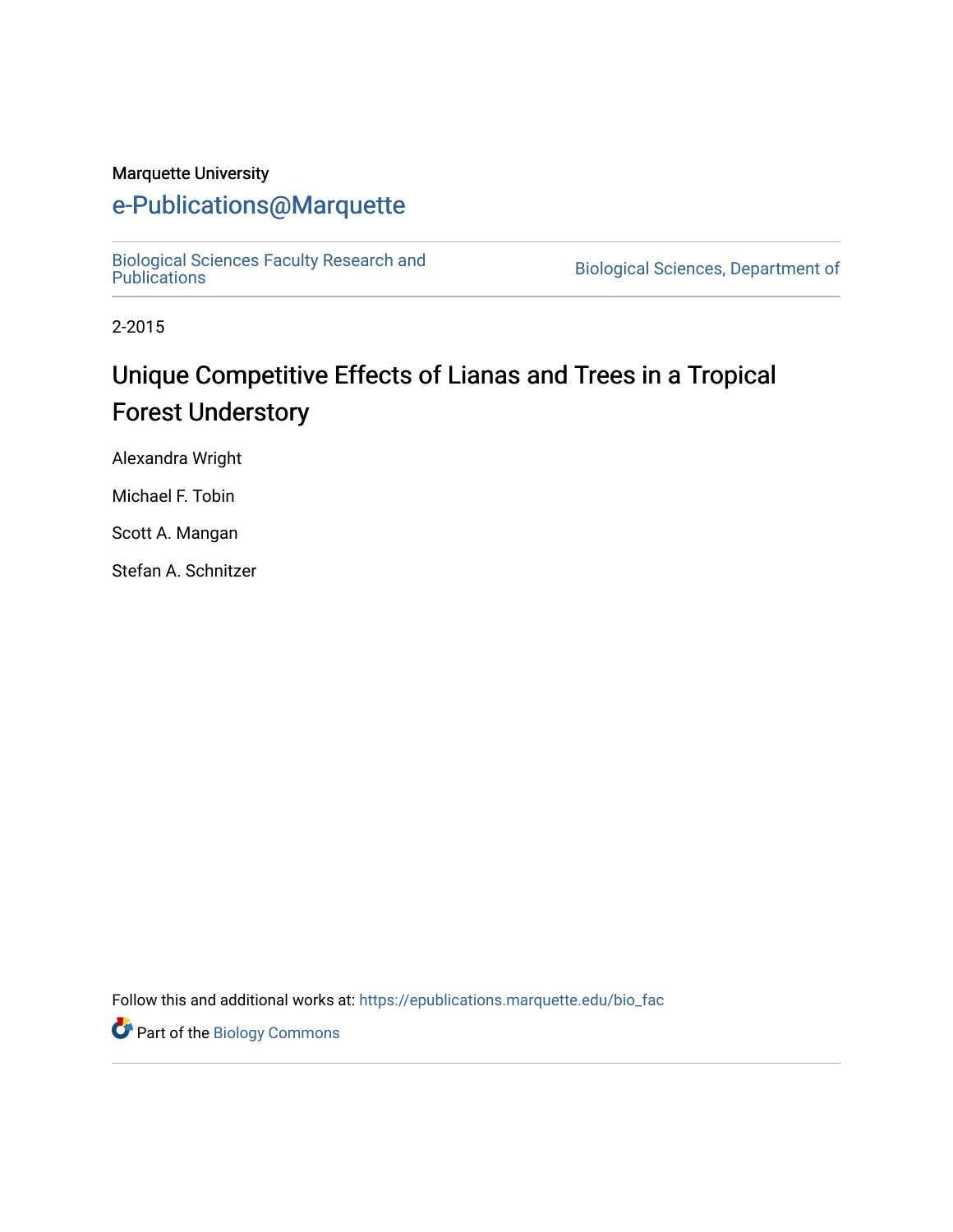#### Marquette University

# [e-Publications@Marquette](https://epublications.marquette.edu/)

[Biological Sciences Faculty Research and](https://epublications.marquette.edu/bio_fac) 

Biological Sciences, Department of

2-2015

# Unique Competitive Effects of Lianas and Trees in a Tropical Forest Understory

Alexandra Wright

Michael F. Tobin

Scott A. Mangan

Stefan A. Schnitzer

Follow this and additional works at: [https://epublications.marquette.edu/bio\\_fac](https://epublications.marquette.edu/bio_fac?utm_source=epublications.marquette.edu%2Fbio_fac%2F722&utm_medium=PDF&utm_campaign=PDFCoverPages) 

**Part of the Biology Commons**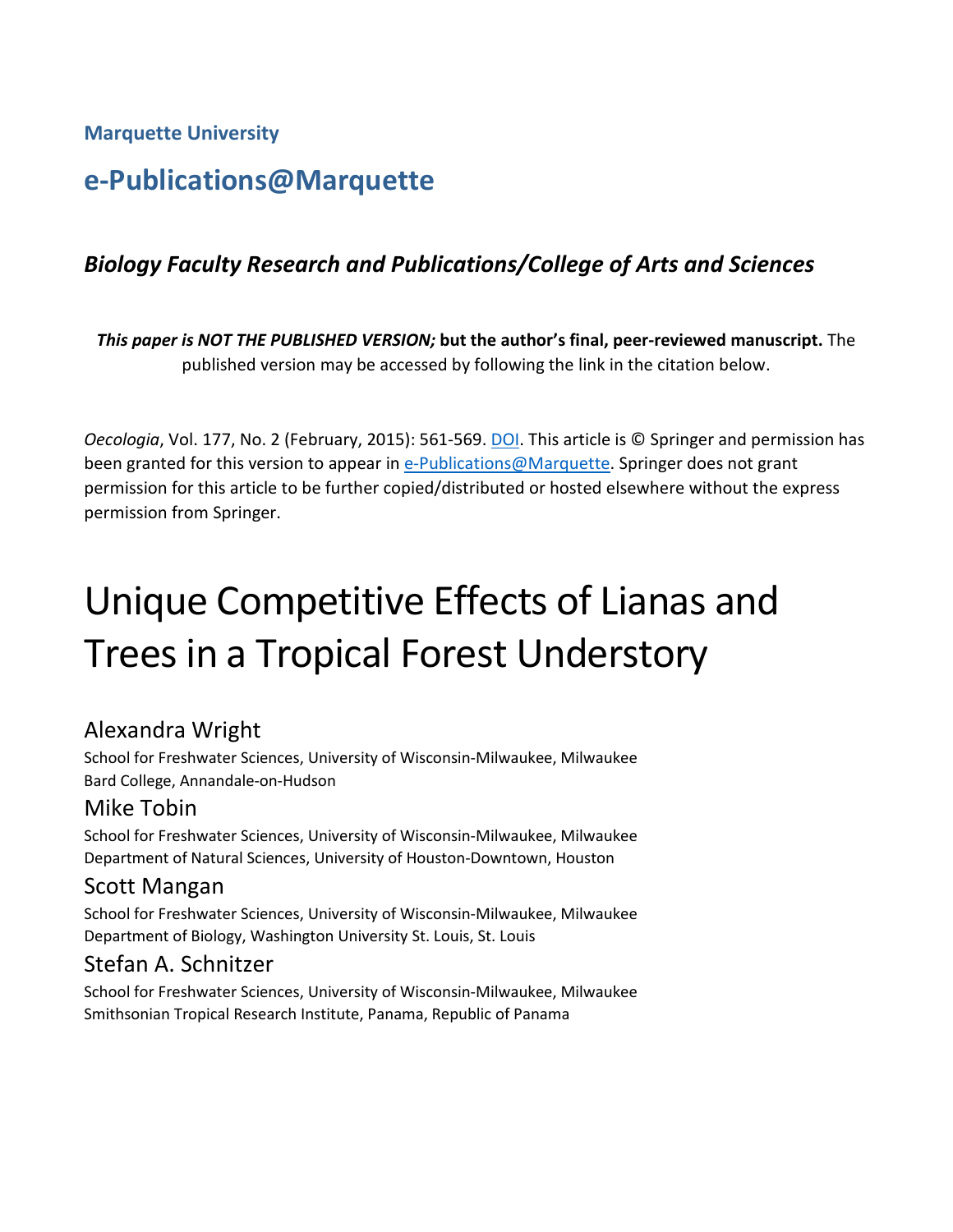**Marquette University**

# **e-Publications@Marquette**

# *Biology Faculty Research and Publications/College of Arts and Sciences*

*This paper is NOT THE PUBLISHED VERSION;* **but the author's final, peer-reviewed manuscript.** The published version may be accessed by following the link in the citation below.

*Oecologia*, Vol. 177, No. 2 (February, 2015): 561-569. DOI. This article is © Springer and permission has been granted for this version to appear in [e-Publications@Marquette.](http://epublications.marquette.edu/) Springer does not grant permission for this article to be further copied/distributed or hosted elsewhere without the express permission from Springer.

# Unique Competitive Effects of Lianas and Trees in a Tropical Forest Understory

# Alexandra Wright

School for Freshwater Sciences, University of Wisconsin-Milwaukee, Milwaukee Bard College, Annandale-on-Hudson

# Mike Tobin

School for Freshwater Sciences, University of Wisconsin-Milwaukee, Milwaukee Department of Natural Sciences, University of Houston-Downtown, Houston

## Scott Mangan

School for Freshwater Sciences, University of Wisconsin-Milwaukee, Milwaukee Department of Biology, Washington University St. Louis, St. Louis

# Stefan A. Schnitzer

School for Freshwater Sciences, University of Wisconsin-Milwaukee, Milwaukee Smithsonian Tropical Research Institute, Panama, Republic of Panama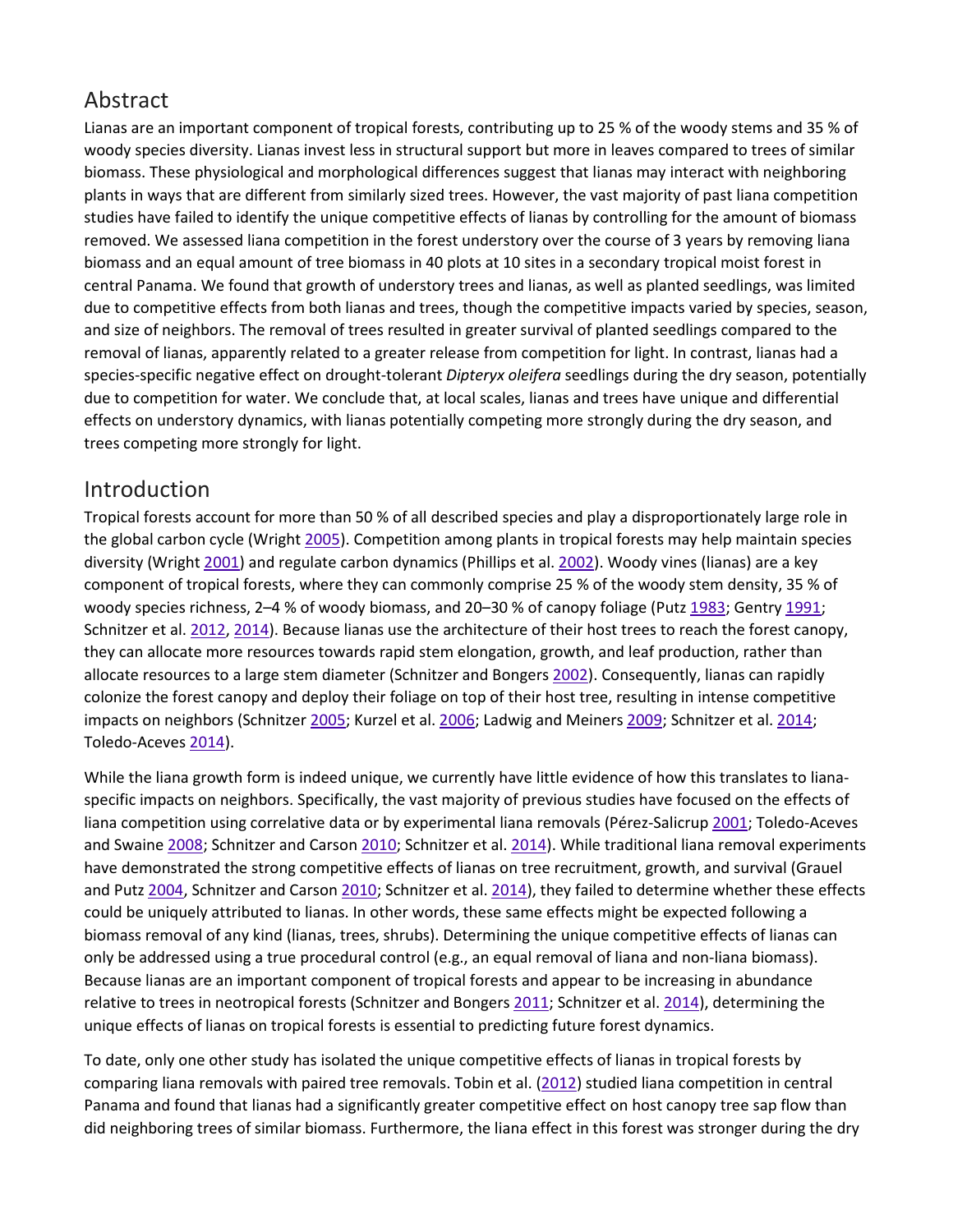# Abstract

Lianas are an important component of tropical forests, contributing up to 25 % of the woody stems and 35 % of woody species diversity. Lianas invest less in structural support but more in leaves compared to trees of similar biomass. These physiological and morphological differences suggest that lianas may interact with neighboring plants in ways that are different from similarly sized trees. However, the vast majority of past liana competition studies have failed to identify the unique competitive effects of lianas by controlling for the amount of biomass removed. We assessed liana competition in the forest understory over the course of 3 years by removing liana biomass and an equal amount of tree biomass in 40 plots at 10 sites in a secondary tropical moist forest in central Panama. We found that growth of understory trees and lianas, as well as planted seedlings, was limited due to competitive effects from both lianas and trees, though the competitive impacts varied by species, season, and size of neighbors. The removal of trees resulted in greater survival of planted seedlings compared to the removal of lianas, apparently related to a greater release from competition for light. In contrast, lianas had a species-specific negative effect on drought-tolerant *Dipteryx oleifera* seedlings during the dry season, potentially due to competition for water. We conclude that, at local scales, lianas and trees have unique and differential effects on understory dynamics, with lianas potentially competing more strongly during the dry season, and trees competing more strongly for light.

# Introduction

Tropical forests account for more than 50 % of all described species and play a disproportionately large role in the global carbon cycle (Wright [2005\)](https://link.springer.com/article/10.1007%2Fs00442-014-3179-0#CR37). Competition among plants in tropical forests may help maintain species diversity (Wright [2001\)](https://link.springer.com/article/10.1007%2Fs00442-014-3179-0#CR36) and regulate carbon dynamics (Phillips et al. [2002\)](https://link.springer.com/article/10.1007%2Fs00442-014-3179-0#CR15). Woody vines (lianas) are a key component of tropical forests, where they can commonly comprise 25 % of the woody stem density, 35 % of woody species richness, 2–4 % of woody biomass, and 20–30 % of canopy foliage (Putz [1983;](https://link.springer.com/article/10.1007%2Fs00442-014-3179-0#CR17) Gentry [1991;](https://link.springer.com/article/10.1007%2Fs00442-014-3179-0#CR7) Schnitzer et al. [2012,](https://link.springer.com/article/10.1007%2Fs00442-014-3179-0#CR28) [2014\)](https://link.springer.com/article/10.1007%2Fs00442-014-3179-0#CR29). Because lianas use the architecture of their host trees to reach the forest canopy, they can allocate more resources towards rapid stem elongation, growth, and leaf production, rather than allocate resources to a large stem diameter (Schnitzer and Bongers [2002\)](https://link.springer.com/article/10.1007%2Fs00442-014-3179-0#CR21). Consequently, lianas can rapidly colonize the forest canopy and deploy their foliage on top of their host tree, resulting in intense competitive impacts on neighbors (Schnitzer [2005;](https://link.springer.com/article/10.1007%2Fs00442-014-3179-0#CR20) Kurzel et al. [2006;](https://link.springer.com/article/10.1007%2Fs00442-014-3179-0#CR10) Ladwig and Meiners [2009;](https://link.springer.com/article/10.1007%2Fs00442-014-3179-0#CR11) Schnitzer et al. [2014;](https://link.springer.com/article/10.1007%2Fs00442-014-3179-0#CR29) Toledo-Aceves [2014\)](https://link.springer.com/article/10.1007%2Fs00442-014-3179-0#CR31).

While the liana growth form is indeed unique, we currently have little evidence of how this translates to lianaspecific impacts on neighbors. Specifically, the vast majority of previous studies have focused on the effects of liana competition using correlative data or by experimental liana removals (Pérez-Salicrup [2001;](https://link.springer.com/article/10.1007%2Fs00442-014-3179-0#CR14) Toledo-Aceves and Swaine [2008;](https://link.springer.com/article/10.1007%2Fs00442-014-3179-0#CR32) Schnitzer and Carson [2010;](https://link.springer.com/article/10.1007%2Fs00442-014-3179-0#CR24) Schnitzer et al. [2014\)](https://link.springer.com/article/10.1007%2Fs00442-014-3179-0#CR29). While traditional liana removal experiments have demonstrated the strong competitive effects of lianas on tree recruitment, growth, and survival (Grauel and Putz [2004,](https://link.springer.com/article/10.1007%2Fs00442-014-3179-0#CR9) Schnitzer and Carson [2010;](https://link.springer.com/article/10.1007%2Fs00442-014-3179-0#CR24) Schnitzer et al. [2014\)](https://link.springer.com/article/10.1007%2Fs00442-014-3179-0#CR29), they failed to determine whether these effects could be uniquely attributed to lianas. In other words, these same effects might be expected following a biomass removal of any kind (lianas, trees, shrubs). Determining the unique competitive effects of lianas can only be addressed using a true procedural control (e.g., an equal removal of liana and non-liana biomass). Because lianas are an important component of tropical forests and appear to be increasing in abundance relative to trees in neotropical forests (Schnitzer and Bongers [2011;](https://link.springer.com/article/10.1007%2Fs00442-014-3179-0#CR22) Schnitzer et al. [2014\)](https://link.springer.com/article/10.1007%2Fs00442-014-3179-0#CR29), determining the unique effects of lianas on tropical forests is essential to predicting future forest dynamics.

To date, only one other study has isolated the unique competitive effects of lianas in tropical forests by comparing liana removals with paired tree removals. Tobin et al. [\(2012\)](https://link.springer.com/article/10.1007%2Fs00442-014-3179-0#CR30) studied liana competition in central Panama and found that lianas had a significantly greater competitive effect on host canopy tree sap flow than did neighboring trees of similar biomass. Furthermore, the liana effect in this forest was stronger during the dry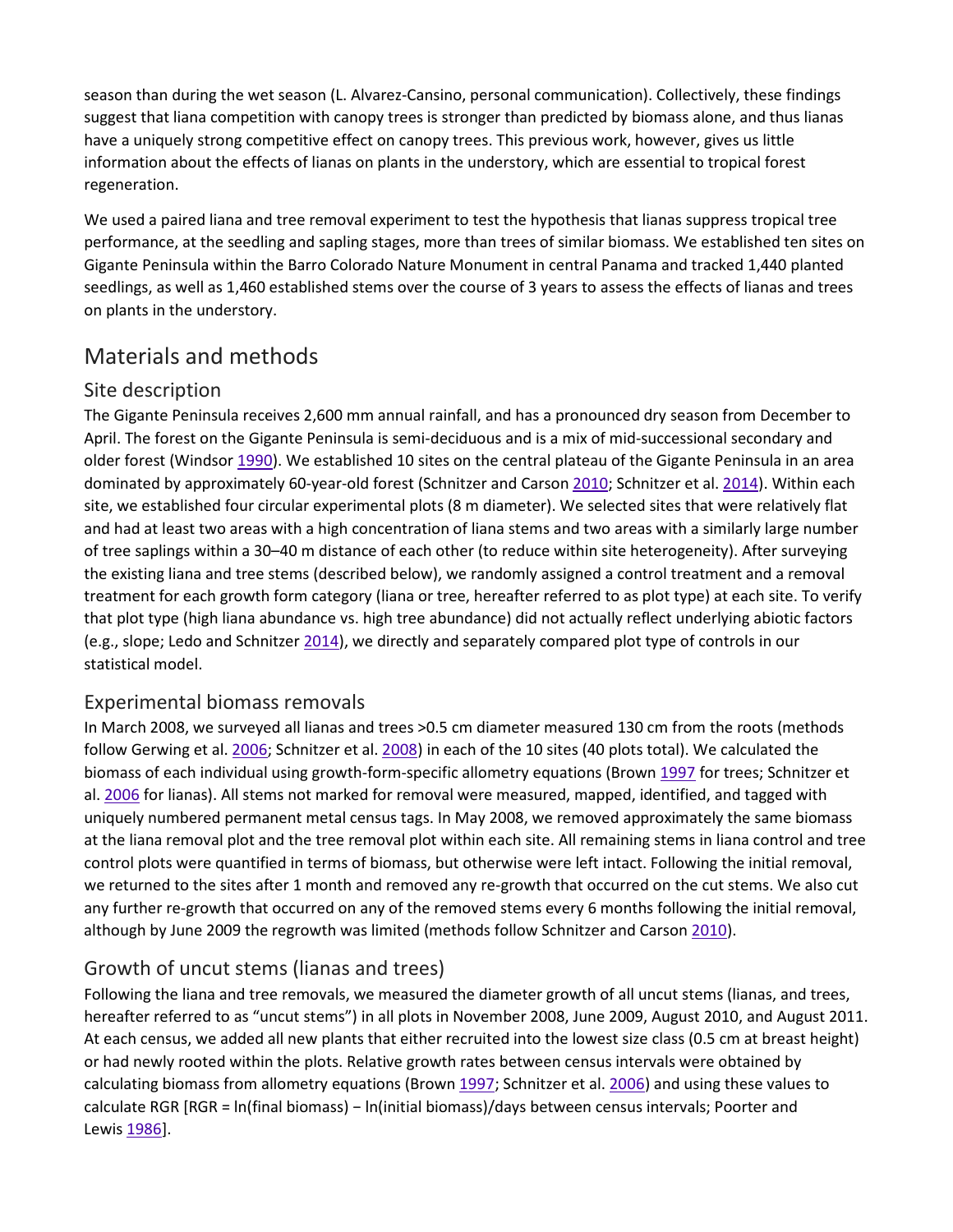season than during the wet season (L. Alvarez-Cansino, personal communication). Collectively, these findings suggest that liana competition with canopy trees is stronger than predicted by biomass alone, and thus lianas have a uniquely strong competitive effect on canopy trees. This previous work, however, gives us little information about the effects of lianas on plants in the understory, which are essential to tropical forest regeneration.

We used a paired liana and tree removal experiment to test the hypothesis that lianas suppress tropical tree performance, at the seedling and sapling stages, more than trees of similar biomass. We established ten sites on Gigante Peninsula within the Barro Colorado Nature Monument in central Panama and tracked 1,440 planted seedlings, as well as 1,460 established stems over the course of 3 years to assess the effects of lianas and trees on plants in the understory.

# Materials and methods

#### Site description

The Gigante Peninsula receives 2,600 mm annual rainfall, and has a pronounced dry season from December to April. The forest on the Gigante Peninsula is semi-deciduous and is a mix of mid-successional secondary and older forest (Windsor [1990\)](https://link.springer.com/article/10.1007%2Fs00442-014-3179-0#CR35). We established 10 sites on the central plateau of the Gigante Peninsula in an area dominated by approximately 60-year-old forest (Schnitzer and Carson [2010;](https://link.springer.com/article/10.1007%2Fs00442-014-3179-0#CR24) Schnitzer et al. [2014\)](https://link.springer.com/article/10.1007%2Fs00442-014-3179-0#CR29). Within each site, we established four circular experimental plots (8 m diameter). We selected sites that were relatively flat and had at least two areas with a high concentration of liana stems and two areas with a similarly large number of tree saplings within a 30–40 m distance of each other (to reduce within site heterogeneity). After surveying the existing liana and tree stems (described below), we randomly assigned a control treatment and a removal treatment for each growth form category (liana or tree, hereafter referred to as plot type) at each site. To verify that plot type (high liana abundance vs. high tree abundance) did not actually reflect underlying abiotic factors (e.g., slope; Ledo and Schnitzer [2014\)](https://link.springer.com/article/10.1007%2Fs00442-014-3179-0#CR12), we directly and separately compared plot type of controls in our statistical model.

#### Experimental biomass removals

In March 2008, we surveyed all lianas and trees >0.5 cm diameter measured 130 cm from the roots (methods follow Gerwing et al. [2006;](https://link.springer.com/article/10.1007%2Fs00442-014-3179-0#CR8) Schnitzer et al. [2008\)](https://link.springer.com/article/10.1007%2Fs00442-014-3179-0#CR27) in each of the 10 sites (40 plots total). We calculated the biomass of each individual using growth-form-specific allometry equations (Brown [1997](https://link.springer.com/article/10.1007%2Fs00442-014-3179-0#CR3) for trees; Schnitzer et al. [2006](https://link.springer.com/article/10.1007%2Fs00442-014-3179-0#CR26) for lianas). All stems not marked for removal were measured, mapped, identified, and tagged with uniquely numbered permanent metal census tags. In May 2008, we removed approximately the same biomass at the liana removal plot and the tree removal plot within each site. All remaining stems in liana control and tree control plots were quantified in terms of biomass, but otherwise were left intact. Following the initial removal, we returned to the sites after 1 month and removed any re-growth that occurred on the cut stems. We also cut any further re-growth that occurred on any of the removed stems every 6 months following the initial removal, although by June 2009 the regrowth was limited (methods follow Schnitzer and Carson [2010\)](https://link.springer.com/article/10.1007%2Fs00442-014-3179-0#CR24).

## Growth of uncut stems (lianas and trees)

Following the liana and tree removals, we measured the diameter growth of all uncut stems (lianas, and trees, hereafter referred to as "uncut stems") in all plots in November 2008, June 2009, August 2010, and August 2011. At each census, we added all new plants that either recruited into the lowest size class (0.5 cm at breast height) or had newly rooted within the plots. Relative growth rates between census intervals were obtained by calculating biomass from allometry equations (Brown [1997;](https://link.springer.com/article/10.1007%2Fs00442-014-3179-0#CR3) Schnitzer et al. [2006\)](https://link.springer.com/article/10.1007%2Fs00442-014-3179-0#CR26) and using these values to calculate RGR [RGR = ln(final biomass) − ln(initial biomass)/days between census intervals; Poorter and Lewis **1986**].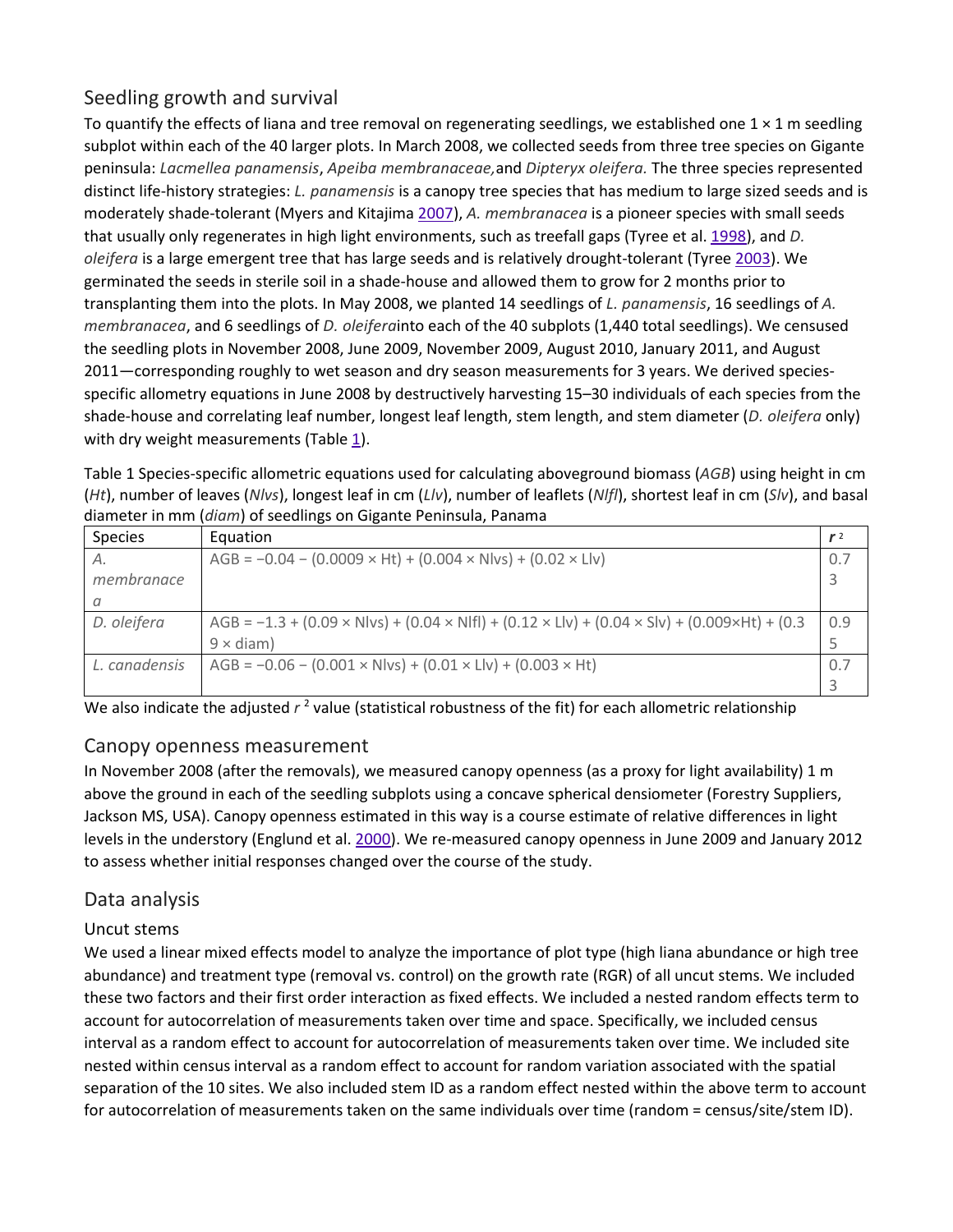#### Seedling growth and survival

To quantify the effects of liana and tree removal on regenerating seedlings, we established one  $1 \times 1$  m seedling subplot within each of the 40 larger plots. In March 2008, we collected seeds from three tree species on Gigante peninsula: *Lacmellea panamensis*, *Apeiba membranaceae,*and *Dipteryx oleifera.* The three species represented distinct life-history strategies: *L. panamensis* is a canopy tree species that has medium to large sized seeds and is moderately shade-tolerant (Myers and Kitajima [2007\)](https://link.springer.com/article/10.1007%2Fs00442-014-3179-0#CR13), *A. membranacea* is a pioneer species with small seeds that usually only regenerates in high light environments, such as treefall gaps (Tyree et al. [1998\)](https://link.springer.com/article/10.1007%2Fs00442-014-3179-0#CR34), and *D. oleifera* is a large emergent tree that has large seeds and is relatively drought-tolerant (Tyree [2003\)](https://link.springer.com/article/10.1007%2Fs00442-014-3179-0#CR33). We germinated the seeds in sterile soil in a shade-house and allowed them to grow for 2 months prior to transplanting them into the plots. In May 2008, we planted 14 seedlings of *L. panamensis*, 16 seedlings of *A. membranacea*, and 6 seedlings of *D. oleifera*into each of the 40 subplots (1,440 total seedlings). We censused the seedling plots in November 2008, June 2009, November 2009, August 2010, January 2011, and August 2011—corresponding roughly to wet season and dry season measurements for 3 years. We derived speciesspecific allometry equations in June 2008 by destructively harvesting 15–30 individuals of each species from the shade-house and correlating leaf number, longest leaf length, stem length, and stem diameter (*D. oleifera* only) with dry weight measurements (Table [1\)](https://link.springer.com/article/10.1007%2Fs00442-014-3179-0#Tab1).

Table 1 Species-specific allometric equations used for calculating aboveground biomass (*AGB*) using height in cm (*Ht*), number of leaves (*Nlvs*), longest leaf in cm (*Llv*), number of leaflets (*Nlfl*), shortest leaf in cm (*Slv*), and basal diameter in mm (*diam*) of seedlings on Gigante Peninsula, Panama

| <b>Species</b> | Equation                                                                                                                   |     |
|----------------|----------------------------------------------------------------------------------------------------------------------------|-----|
| А.             | $AGB = -0.04 - (0.0009 \times Ht) + (0.004 \times Nlvs) + (0.02 \times Llvs)$                                              | 0.7 |
| membranace     |                                                                                                                            |     |
|                |                                                                                                                            |     |
| D. oleifera    | AGB = $-1.3 + (0.09 \times Nlvs) + (0.04 \times Nlfl) + (0.12 \times llv) + (0.04 \times Slv) + (0.009 \times lfl) + (0.3$ | 0.9 |
|                | $9 \times$ diam)                                                                                                           |     |
| L. canadensis  | AGB = $-0.06 - (0.001 \times Nlvs) + (0.01 \times Llv) + (0.003 \times Ht)$                                                | 0.7 |
|                |                                                                                                                            |     |

We also indicate the adjusted  $r^2$  value (statistical robustness of the fit) for each allometric relationship

#### Canopy openness measurement

In November 2008 (after the removals), we measured canopy openness (as a proxy for light availability) 1 m above the ground in each of the seedling subplots using a concave spherical densiometer (Forestry Suppliers, Jackson MS, USA). Canopy openness estimated in this way is a course estimate of relative differences in light levels in the understory (Englund et al. [2000\)](https://link.springer.com/article/10.1007%2Fs00442-014-3179-0#CR6). We re-measured canopy openness in June 2009 and January 2012 to assess whether initial responses changed over the course of the study.

#### Data analysis

#### Uncut stems

We used a linear mixed effects model to analyze the importance of plot type (high liana abundance or high tree abundance) and treatment type (removal vs. control) on the growth rate (RGR) of all uncut stems. We included these two factors and their first order interaction as fixed effects. We included a nested random effects term to account for autocorrelation of measurements taken over time and space. Specifically, we included census interval as a random effect to account for autocorrelation of measurements taken over time. We included site nested within census interval as a random effect to account for random variation associated with the spatial separation of the 10 sites. We also included stem ID as a random effect nested within the above term to account for autocorrelation of measurements taken on the same individuals over time (random = census/site/stem ID).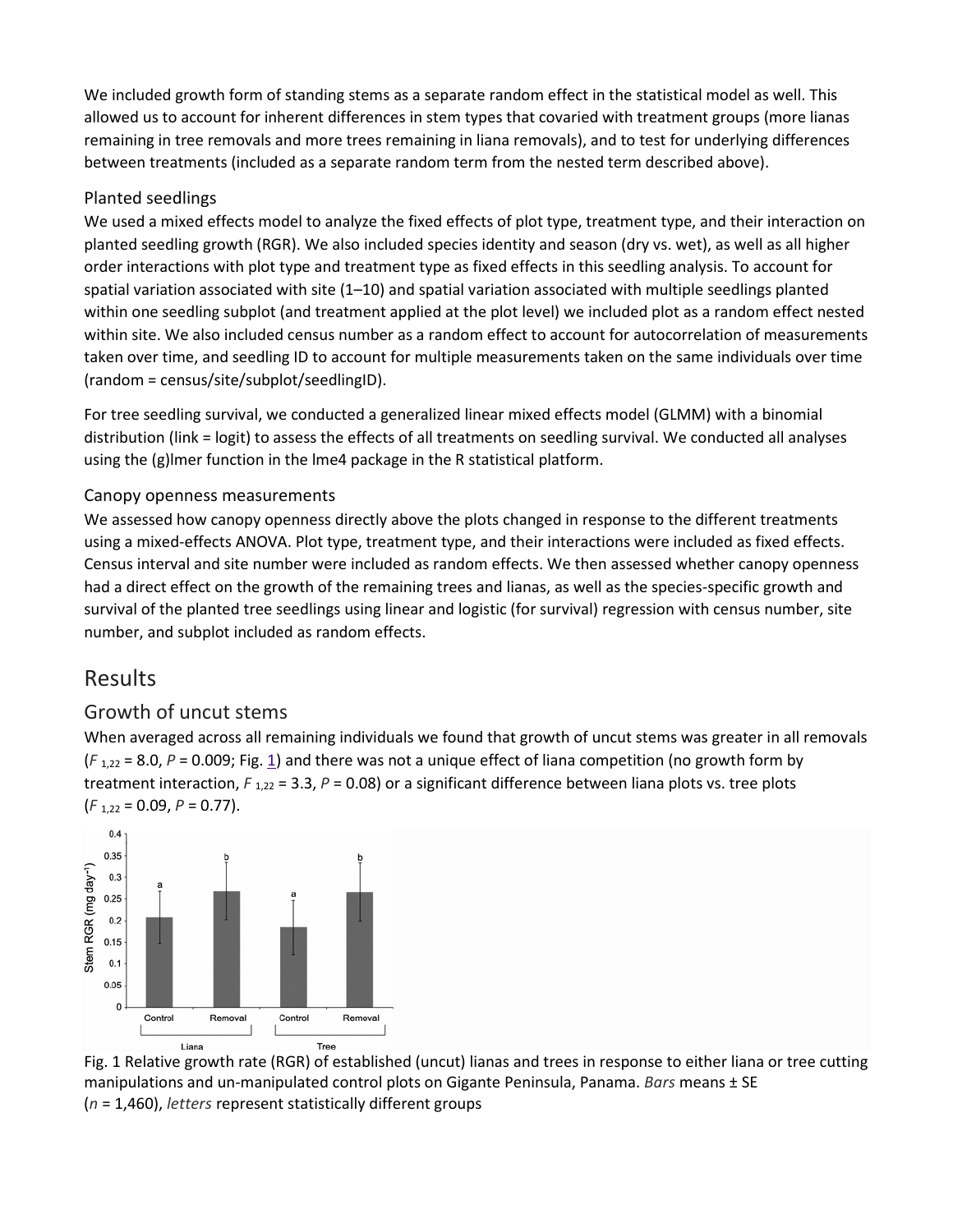We included growth form of standing stems as a separate random effect in the statistical model as well. This allowed us to account for inherent differences in stem types that covaried with treatment groups (more lianas remaining in tree removals and more trees remaining in liana removals), and to test for underlying differences between treatments (included as a separate random term from the nested term described above).

#### Planted seedlings

We used a mixed effects model to analyze the fixed effects of plot type, treatment type, and their interaction on planted seedling growth (RGR). We also included species identity and season (dry vs. wet), as well as all higher order interactions with plot type and treatment type as fixed effects in this seedling analysis. To account for spatial variation associated with site (1–10) and spatial variation associated with multiple seedlings planted within one seedling subplot (and treatment applied at the plot level) we included plot as a random effect nested within site. We also included census number as a random effect to account for autocorrelation of measurements taken over time, and seedling ID to account for multiple measurements taken on the same individuals over time (random = census/site/subplot/seedlingID).

For tree seedling survival, we conducted a generalized linear mixed effects model (GLMM) with a binomial distribution (link = logit) to assess the effects of all treatments on seedling survival. We conducted all analyses using the (g)lmer function in the lme4 package in the R statistical platform.

#### Canopy openness measurements

We assessed how canopy openness directly above the plots changed in response to the different treatments using a mixed-effects ANOVA. Plot type, treatment type, and their interactions were included as fixed effects. Census interval and site number were included as random effects. We then assessed whether canopy openness had a direct effect on the growth of the remaining trees and lianas, as well as the species-specific growth and survival of the planted tree seedlings using linear and logistic (for survival) regression with census number, site number, and subplot included as random effects.

# Results

#### Growth of uncut stems

When averaged across all remaining individuals we found that growth of uncut stems was greater in all removals  $(F_{1,22} = 8.0, P = 0.009;$  Fig. [1\)](https://link.springer.com/article/10.1007%2Fs00442-014-3179-0#Fig1) and there was not a unique effect of liana competition (no growth form by treatment interaction,  $F_{1,22} = 3.3$ ,  $P = 0.08$ ) or a significant difference between liana plots vs. tree plots (*F* 1,22 = 0.09, *P* = 0.77).



Fig. 1 Relative growth rate (RGR) of established (uncut) lianas and trees in response to either liana or tree cutting manipulations and un-manipulated control plots on Gigante Peninsula, Panama. *Bars* means ± SE (*n* = 1,460), *letters* represent statistically different groups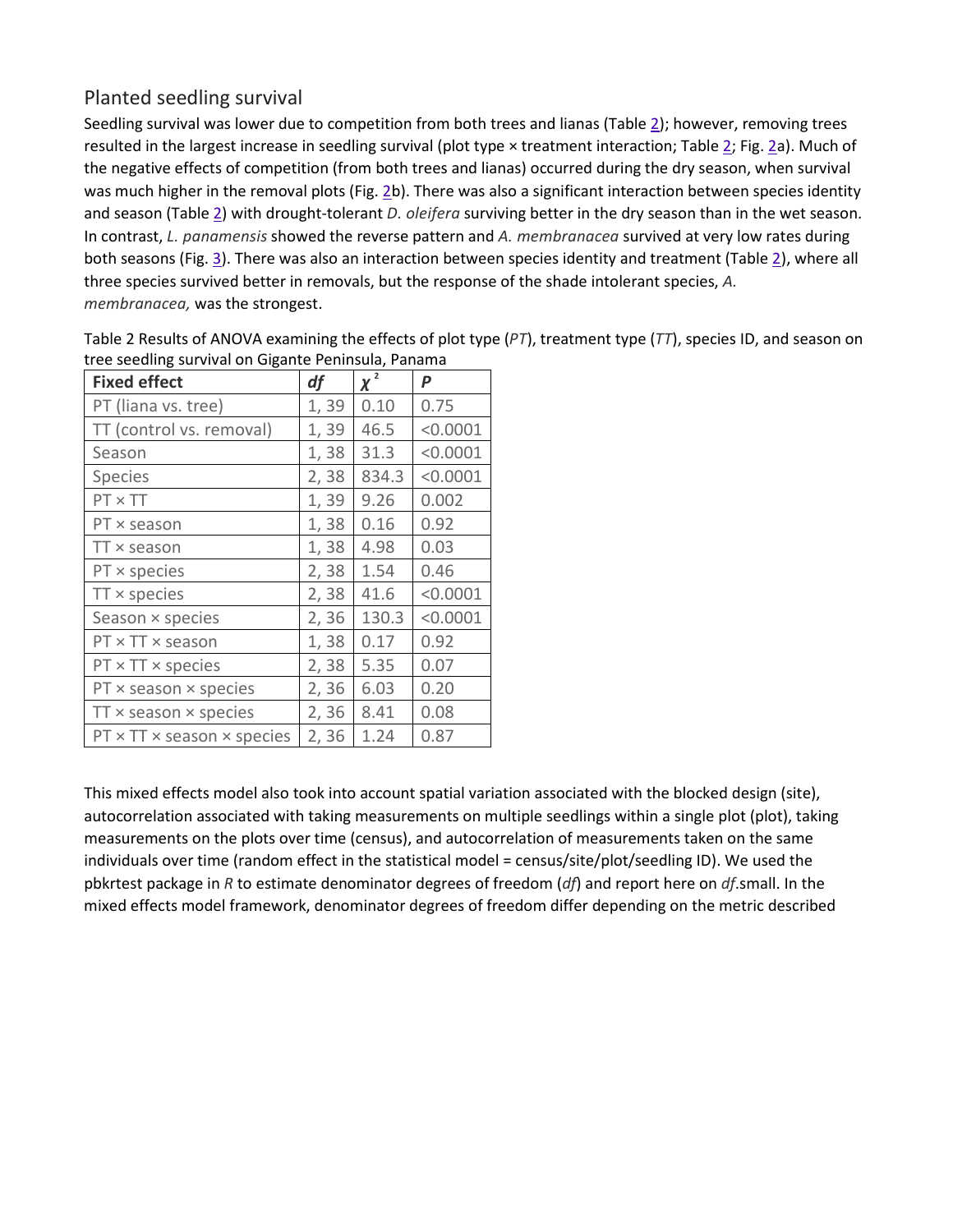#### Planted seedling survival

Seedling survival was lower due to competition from both trees and lianas (Table [2\)](https://link.springer.com/article/10.1007%2Fs00442-014-3179-0#Tab2); however, removing trees resulted in the largest increase in seedling survival (plot type × treatment interaction; Table [2;](https://link.springer.com/article/10.1007%2Fs00442-014-3179-0#Tab2) Fig. [2a](https://link.springer.com/article/10.1007%2Fs00442-014-3179-0#Fig2)). Much of the negative effects of competition (from both trees and lianas) occurred during the dry season, when survival was much higher in the removal plots (Fig. [2b](https://link.springer.com/article/10.1007%2Fs00442-014-3179-0#Fig2)). There was also a significant interaction between species identity and season (Table [2\)](https://link.springer.com/article/10.1007%2Fs00442-014-3179-0#Tab2) with drought-tolerant *D. oleifera* surviving better in the dry season than in the wet season. In contrast, *L. panamensis* showed the reverse pattern and *A. membranacea* survived at very low rates during both seasons (Fig. [3\)](https://link.springer.com/article/10.1007%2Fs00442-014-3179-0#Fig3). There was also an interaction between species identity and treatment (Table [2\)](https://link.springer.com/article/10.1007%2Fs00442-014-3179-0#Tab2), where all three species survived better in removals, but the response of the shade intolerant species, *A. membranacea,* was the strongest.

| <b>Fixed effect</b>                         | df    | $\overline{\chi^2}$ | P        |
|---------------------------------------------|-------|---------------------|----------|
| PT (liana vs. tree)                         | 1,39  | 0.10                | 0.75     |
| TT (control vs. removal)                    | 1,39  | 46.5                | < 0.0001 |
| Season                                      | 1,38  | 31.3                | < 0.0001 |
| <b>Species</b>                              | 2,38  | 834.3               | < 0.0001 |
| $PT \times TT$                              | 1,39  | 9.26                | 0.002    |
| $PT \times$ season                          | 1,38  | 0.16                | 0.92     |
| $TT \times$ season                          | 1,38  | 4.98                | 0.03     |
| $PT \times species$                         | 2, 38 | 1.54                | 0.46     |
| $TT \times species$                         | 2, 38 | 41.6                | < 0.0001 |
| Season × species                            | 2, 36 | 130.3               | < 0.0001 |
| $PT \times TT \times season$                | 1,38  | 0.17                | 0.92     |
| $PT \times TT \times species$               | 2,38  | 5.35                | 0.07     |
| $PT \times$ season $\times$ species         | 2, 36 | 6.03                | 0.20     |
| $TT \times$ season $\times$ species         | 2, 36 | 8.41                | 0.08     |
| $PT \times TT \times season \times species$ | 2, 36 | 1.24                | 0.87     |

Table 2 Results of ANOVA examining the effects of plot type (*PT*), treatment type (*TT*), species ID, and season on tree seedling survival on Gigante Peninsula, Panama

This mixed effects model also took into account spatial variation associated with the blocked design (site), autocorrelation associated with taking measurements on multiple seedlings within a single plot (plot), taking measurements on the plots over time (census), and autocorrelation of measurements taken on the same individuals over time (random effect in the statistical model = census/site/plot/seedling ID). We used the pbkrtest package in *R* to estimate denominator degrees of freedom (*df*) and report here on *df*.small. In the mixed effects model framework, denominator degrees of freedom differ depending on the metric described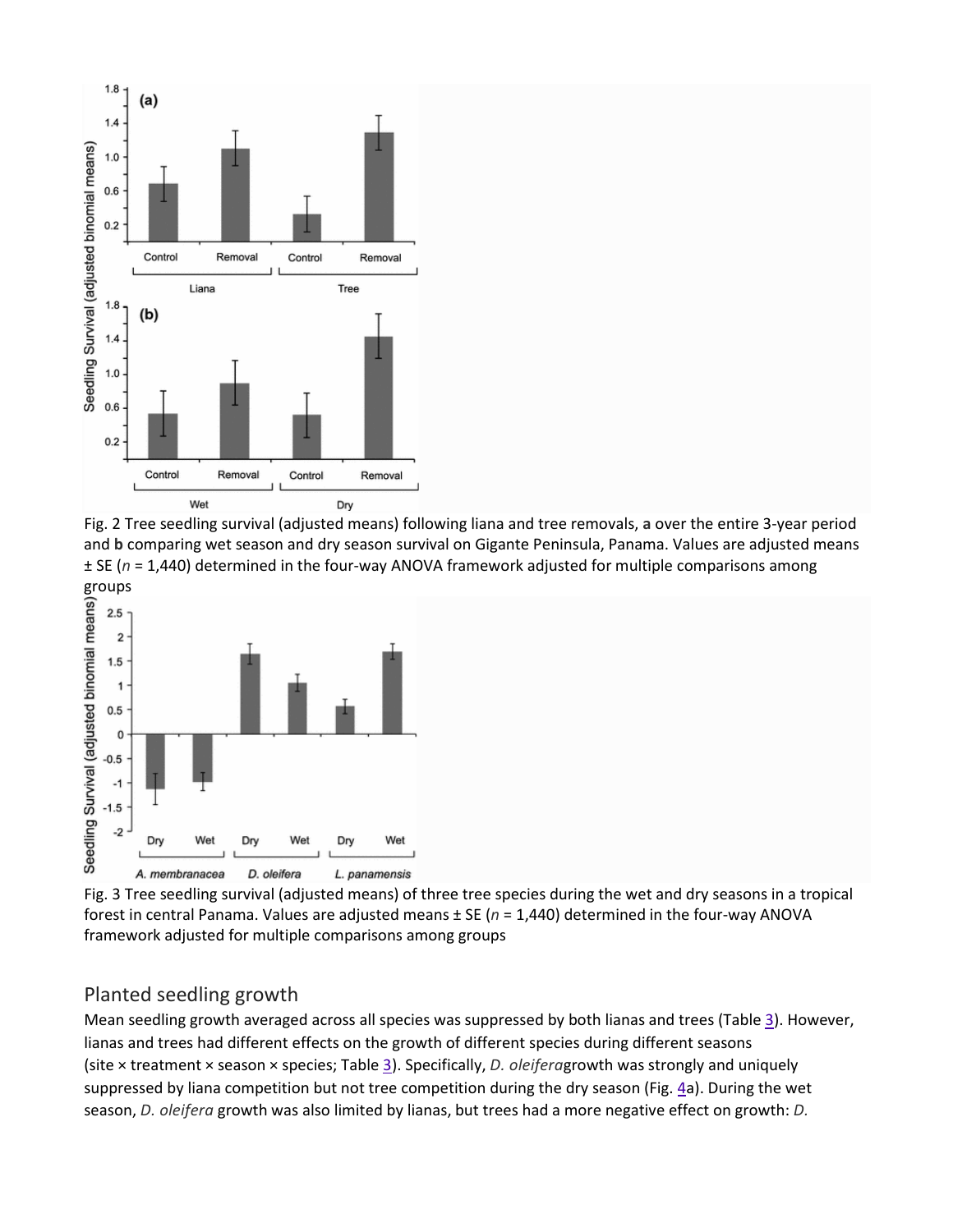

Fig. 2 Tree seedling survival (adjusted means) following liana and tree removals, **a** over the entire 3-year period and **b** comparing wet season and dry season survival on Gigante Peninsula, Panama. Values are adjusted means ± SE (*n* = 1,440) determined in the four-way ANOVA framework adjusted for multiple comparisons among



Fig. 3 Tree seedling survival (adjusted means) of three tree species during the wet and dry seasons in a tropical forest in central Panama. Values are adjusted means ± SE (*n* = 1,440) determined in the four-way ANOVA framework adjusted for multiple comparisons among groups

#### Planted seedling growth

Mean seedling growth averaged across all species was suppressed by both lianas and trees (Table [3\)](https://link.springer.com/article/10.1007%2Fs00442-014-3179-0#Tab3). However, lianas and trees had different effects on the growth of different species during different seasons (site × treatment × season × species; Table [3\)](https://link.springer.com/article/10.1007%2Fs00442-014-3179-0#Tab3). Specifically, *D. oleifera*growth was strongly and uniquely suppressed by liana competition but not tree competition during the dry season (Fig. [4a](https://link.springer.com/article/10.1007%2Fs00442-014-3179-0#Fig4)). During the wet season, *D. oleifera* growth was also limited by lianas, but trees had a more negative effect on growth: *D.*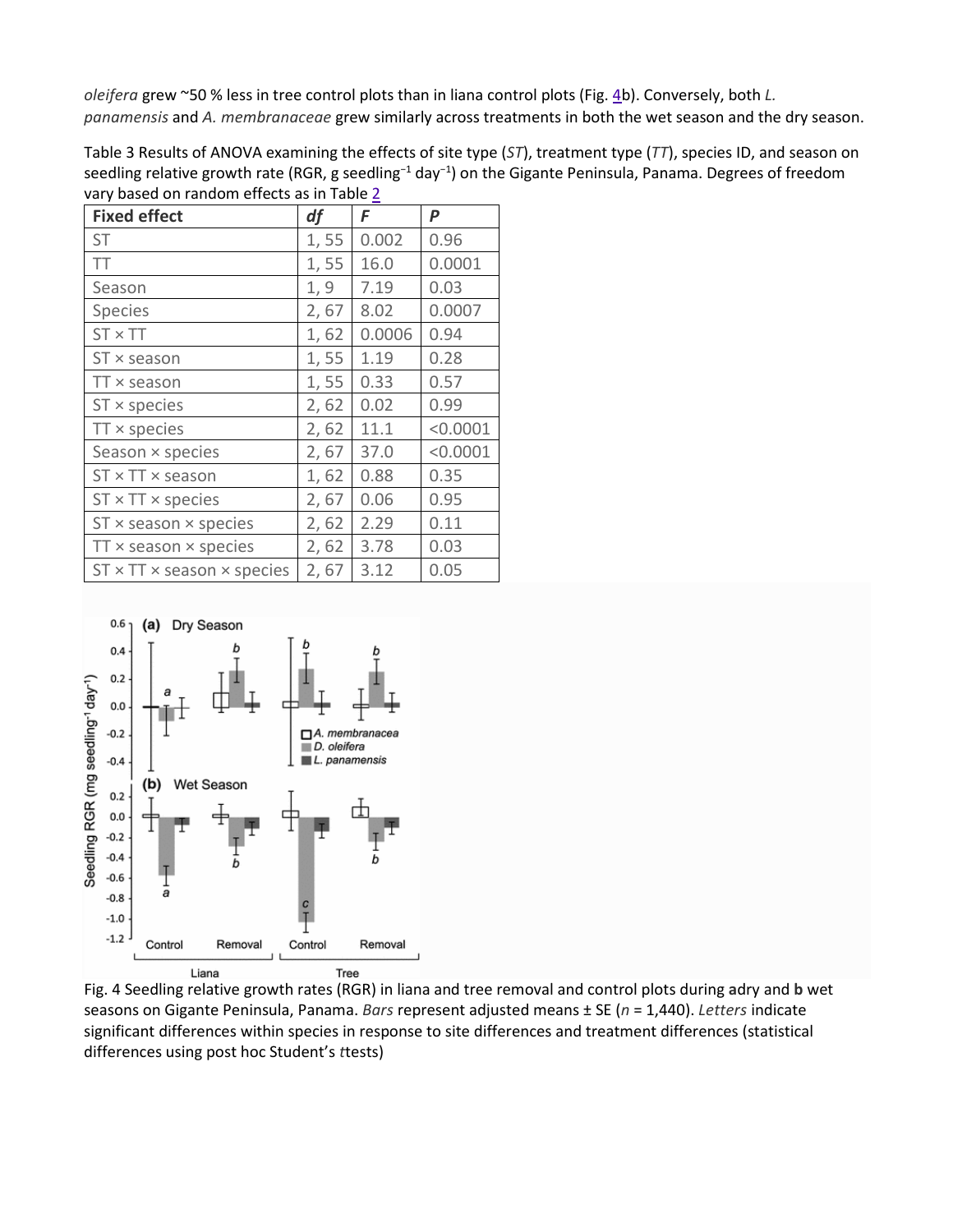*oleifera* grew ~50 % less in tree control plots than in liana control plots (Fig. [4b](https://link.springer.com/article/10.1007%2Fs00442-014-3179-0#Fig4)). Conversely, both *L. panamensis* and *A. membranaceae* grew similarly across treatments in both the wet season and the dry season.

| vary based on random effects as in Table 2  |      |        |          |  |  |  |
|---------------------------------------------|------|--------|----------|--|--|--|
| <b>Fixed effect</b>                         | df   | F      | P        |  |  |  |
| <b>ST</b>                                   | 1,55 | 0.002  | 0.96     |  |  |  |
| <b>TT</b>                                   | 1,55 | 16.0   | 0.0001   |  |  |  |
| Season                                      | 1, 9 | 7.19   | 0.03     |  |  |  |
| <b>Species</b>                              | 2,67 | 8.02   | 0.0007   |  |  |  |
| $ST \times TT$                              | 1,62 | 0.0006 | 0.94     |  |  |  |
| $ST \times$ season                          | 1,55 | 1.19   | 0.28     |  |  |  |
| $TT \times$ season                          | 1,55 | 0.33   | 0.57     |  |  |  |
| $ST \times species$                         | 2,62 | 0.02   | 0.99     |  |  |  |
| $TT \times species$                         | 2,62 | 11.1   | < 0.0001 |  |  |  |
| Season × species                            | 2,67 | 37.0   | < 0.0001 |  |  |  |
| $ST \times TT \times season$                | 1,62 | 0.88   | 0.35     |  |  |  |
| $ST \times TT \times species$               | 2,67 | 0.06   | 0.95     |  |  |  |
| $ST \times$ season $\times$ species         | 2,62 | 2.29   | 0.11     |  |  |  |
| $TT \times$ season $\times$ species         | 2,62 | 3.78   | 0.03     |  |  |  |
| $ST \times TT \times season \times species$ | 2,67 | 3.12   | 0.05     |  |  |  |

Table 3 Results of ANOVA examining the effects of site type (*ST*), treatment type (*TT*), species ID, and season on seedling relative growth rate (RGR, g seedling<sup>-1</sup> day<sup>-1</sup>) on the Gigante Peninsula, Panama. Degrees of freedom vary based on random effects as in Table [2](https://link.springer.com/article/10.1007%2Fs00442-014-3179-0#Tab2)



Fig. 4 Seedling relative growth rates (RGR) in liana and tree removal and control plots during **a**dry and **b** wet seasons on Gigante Peninsula, Panama. *Bars* represent adjusted means ± SE (*n* = 1,440). *Letters* indicate significant differences within species in response to site differences and treatment differences (statistical differences using post hoc Student's *t*tests)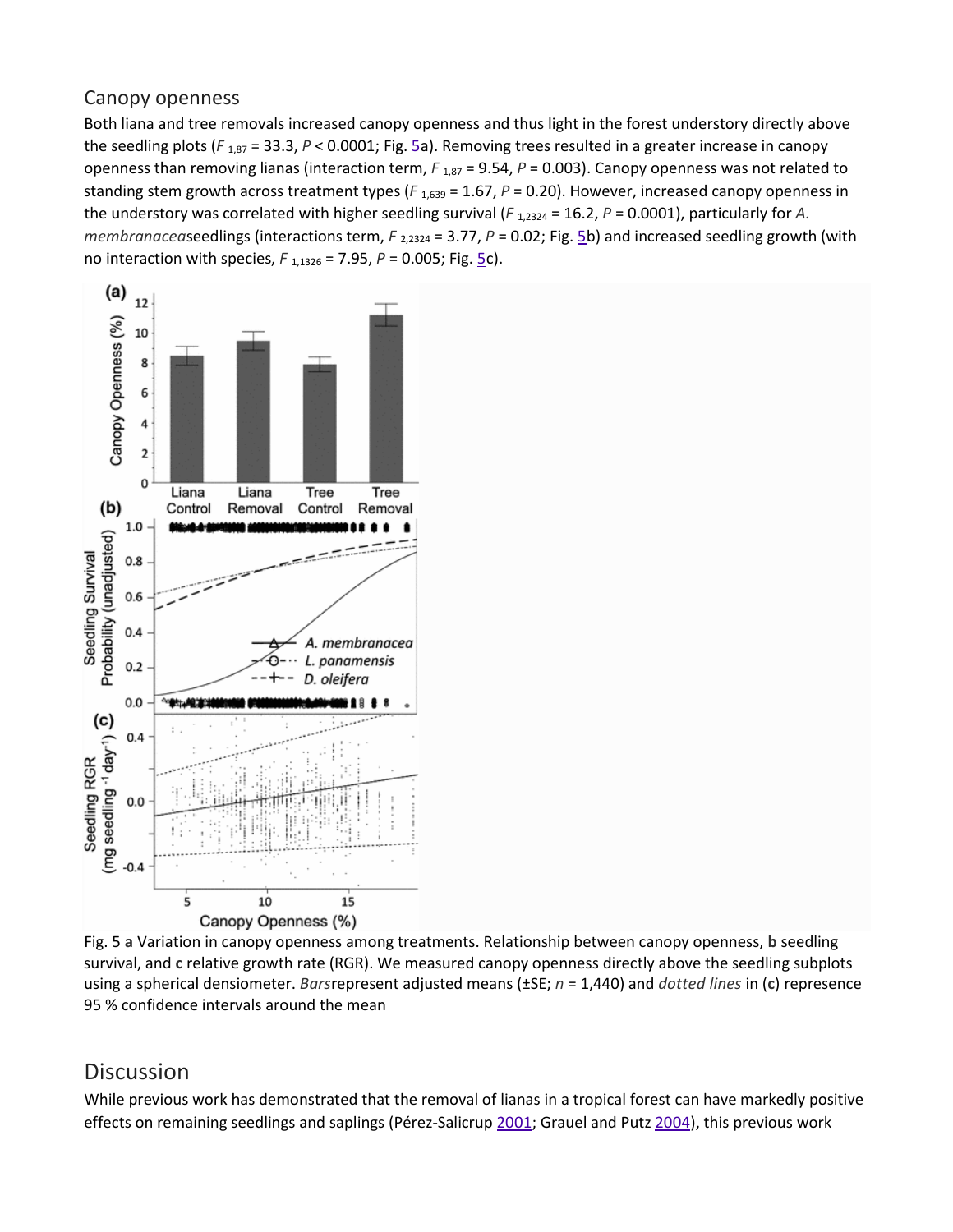#### Canopy openness

Both liana and tree removals increased canopy openness and thus light in the forest understory directly above the seedling plots ( $F_{1,87}$  = 33.3,  $P < 0.0001$ ; Fig. [5a](https://link.springer.com/article/10.1007%2Fs00442-014-3179-0#Fig5)). Removing trees resulted in a greater increase in canopy openness than removing lianas (interaction term, *F* 1,87 = 9.54, *P* = 0.003). Canopy openness was not related to standing stem growth across treatment types  $(F_{1,639} = 1.67, P = 0.20)$ . However, increased canopy openness in the understory was correlated with higher seedling survival ( $F_{1,2324}$  = 16.2,  $P$  = 0.0001), particularly for A. *membranaceaseedlings (interactions term, F* 2,2324 = 3.77, P = 0.02; Fig. [5b](https://link.springer.com/article/10.1007%2Fs00442-014-3179-0#Fig5)) and increased seedling growth (with no interaction with species, *F* 1,1326 = 7.95, *P* = 0.005; Fig. [5c](https://link.springer.com/article/10.1007%2Fs00442-014-3179-0#Fig5)).



Fig. 5 **a** Variation in canopy openness among treatments. Relationship between canopy openness, **b** seedling survival, and **c** relative growth rate (RGR). We measured canopy openness directly above the seedling subplots using a spherical densiometer. *Bars*represent adjusted means (±SE; *n* = 1,440) and *dotted lines* in (**c**) represence 95 % confidence intervals around the mean

# **Discussion**

While previous work has demonstrated that the removal of lianas in a tropical forest can have markedly positive effects on remaining seedlings and saplings (Pérez-Salicrup [2001;](https://link.springer.com/article/10.1007%2Fs00442-014-3179-0#CR14) Grauel and Putz [2004\)](https://link.springer.com/article/10.1007%2Fs00442-014-3179-0#CR9), this previous work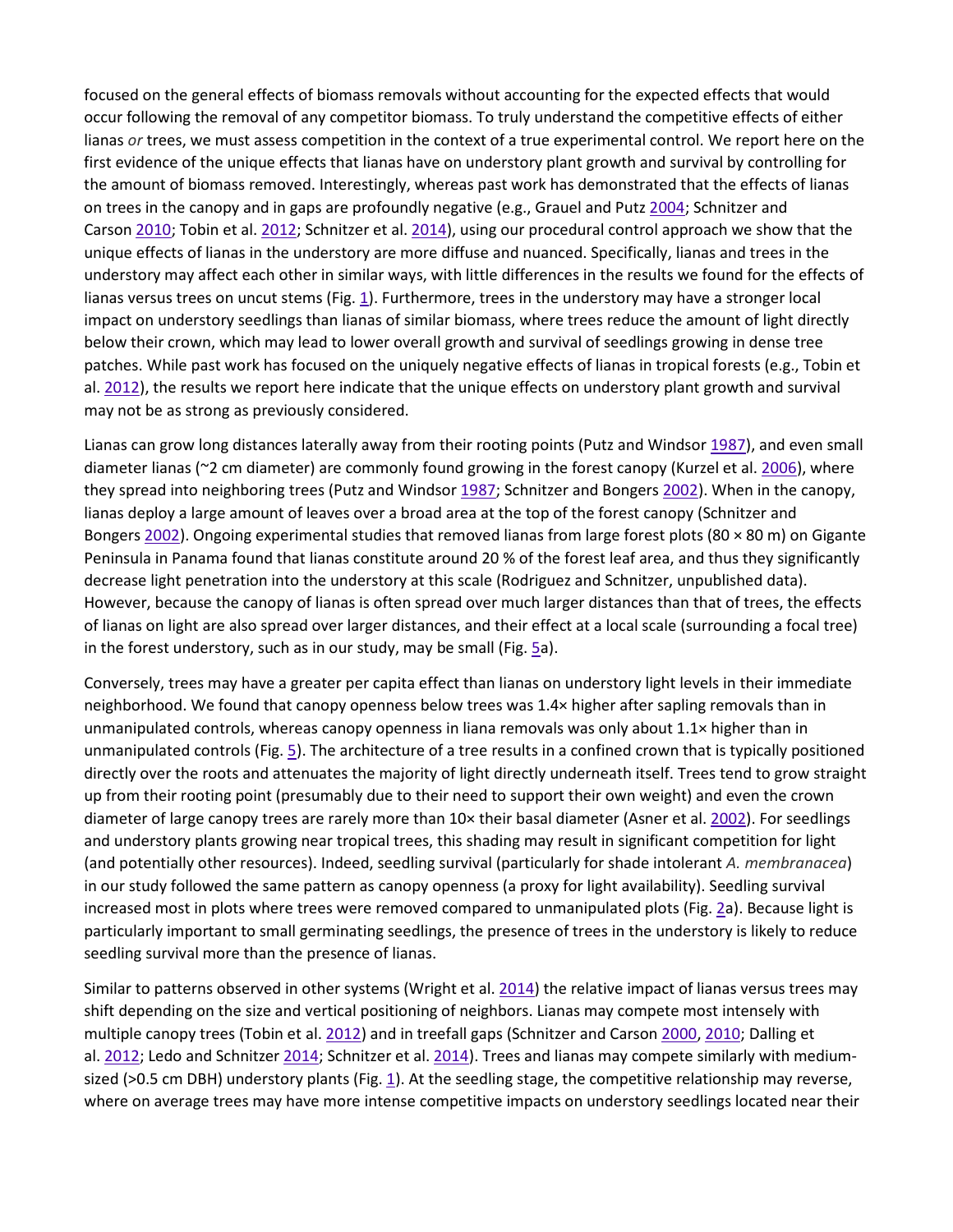focused on the general effects of biomass removals without accounting for the expected effects that would occur following the removal of any competitor biomass. To truly understand the competitive effects of either lianas *or* trees, we must assess competition in the context of a true experimental control. We report here on the first evidence of the unique effects that lianas have on understory plant growth and survival by controlling for the amount of biomass removed. Interestingly, whereas past work has demonstrated that the effects of lianas on trees in the canopy and in gaps are profoundly negative (e.g., Grauel and Putz [2004;](https://link.springer.com/article/10.1007%2Fs00442-014-3179-0#CR9) Schnitzer and Carson [2010;](https://link.springer.com/article/10.1007%2Fs00442-014-3179-0#CR24) Tobin et al. [2012;](https://link.springer.com/article/10.1007%2Fs00442-014-3179-0#CR30) Schnitzer et al. [2014\)](https://link.springer.com/article/10.1007%2Fs00442-014-3179-0#CR29), using our procedural control approach we show that the unique effects of lianas in the understory are more diffuse and nuanced. Specifically, lianas and trees in the understory may affect each other in similar ways, with little differences in the results we found for the effects of lianas versus trees on uncut stems (Fig.  $1$ ). Furthermore, trees in the understory may have a stronger local impact on understory seedlings than lianas of similar biomass, where trees reduce the amount of light directly below their crown, which may lead to lower overall growth and survival of seedlings growing in dense tree patches. While past work has focused on the uniquely negative effects of lianas in tropical forests (e.g., Tobin et al. [2012\)](https://link.springer.com/article/10.1007%2Fs00442-014-3179-0#CR30), the results we report here indicate that the unique effects on understory plant growth and survival may not be as strong as previously considered.

Lianas can grow long distances laterally away from their rooting points (Putz and Windsor [1987\)](https://link.springer.com/article/10.1007%2Fs00442-014-3179-0#CR18), and even small diameter lianas (~2 cm diameter) are commonly found growing in the forest canopy (Kurzel et al. [2006\)](https://link.springer.com/article/10.1007%2Fs00442-014-3179-0#CR10), where they spread into neighboring trees (Putz and Windsor [1987;](https://link.springer.com/article/10.1007%2Fs00442-014-3179-0#CR18) Schnitzer and Bongers [2002\)](https://link.springer.com/article/10.1007%2Fs00442-014-3179-0#CR21). When in the canopy, lianas deploy a large amount of leaves over a broad area at the top of the forest canopy (Schnitzer and Bongers [2002\)](https://link.springer.com/article/10.1007%2Fs00442-014-3179-0#CR21). Ongoing experimental studies that removed lianas from large forest plots (80 × 80 m) on Gigante Peninsula in Panama found that lianas constitute around 20 % of the forest leaf area, and thus they significantly decrease light penetration into the understory at this scale (Rodriguez and Schnitzer, unpublished data). However, because the canopy of lianas is often spread over much larger distances than that of trees, the effects of lianas on light are also spread over larger distances, and their effect at a local scale (surrounding a focal tree) in the forest understory, such as in our study, may be small (Fig. [5a](https://link.springer.com/article/10.1007%2Fs00442-014-3179-0#Fig5)).

Conversely, trees may have a greater per capita effect than lianas on understory light levels in their immediate neighborhood. We found that canopy openness below trees was 1.4× higher after sapling removals than in unmanipulated controls, whereas canopy openness in liana removals was only about 1.1× higher than in unmanipulated controls (Fig. [5\)](https://link.springer.com/article/10.1007%2Fs00442-014-3179-0#Fig5). The architecture of a tree results in a confined crown that is typically positioned directly over the roots and attenuates the majority of light directly underneath itself. Trees tend to grow straight up from their rooting point (presumably due to their need to support their own weight) and even the crown diameter of large canopy trees are rarely more than 10× their basal diameter (Asner et al. [2002\)](https://link.springer.com/article/10.1007%2Fs00442-014-3179-0#CR2). For seedlings and understory plants growing near tropical trees, this shading may result in significant competition for light (and potentially other resources). Indeed, seedling survival (particularly for shade intolerant *A. membranacea*) in our study followed the same pattern as canopy openness (a proxy for light availability). Seedling survival increased most in plots where trees were removed compared to unmanipulated plots (Fig. [2a](https://link.springer.com/article/10.1007%2Fs00442-014-3179-0#Fig2)). Because light is particularly important to small germinating seedlings, the presence of trees in the understory is likely to reduce seedling survival more than the presence of lianas.

Similar to patterns observed in other systems (Wright et al. [2014\)](https://link.springer.com/article/10.1007%2Fs00442-014-3179-0#CR38) the relative impact of lianas versus trees may shift depending on the size and vertical positioning of neighbors. Lianas may compete most intensely with multiple canopy trees (Tobin et al. [2012\)](https://link.springer.com/article/10.1007%2Fs00442-014-3179-0#CR30) and in treefall gaps (Schnitzer and Carson [2000,](https://link.springer.com/article/10.1007%2Fs00442-014-3179-0#CR23) [2010;](https://link.springer.com/article/10.1007%2Fs00442-014-3179-0#CR24) Dalling et al. [2012;](https://link.springer.com/article/10.1007%2Fs00442-014-3179-0#CR4) Ledo and Schnitzer [2014;](https://link.springer.com/article/10.1007%2Fs00442-014-3179-0#CR12) Schnitzer et al. [2014\)](https://link.springer.com/article/10.1007%2Fs00442-014-3179-0#CR29). Trees and lianas may compete similarly with mediumsized (>0.5 cm DBH) understory plants (Fig. [1\)](https://link.springer.com/article/10.1007%2Fs00442-014-3179-0#Fig1). At the seedling stage, the competitive relationship may reverse, where on average trees may have more intense competitive impacts on understory seedlings located near their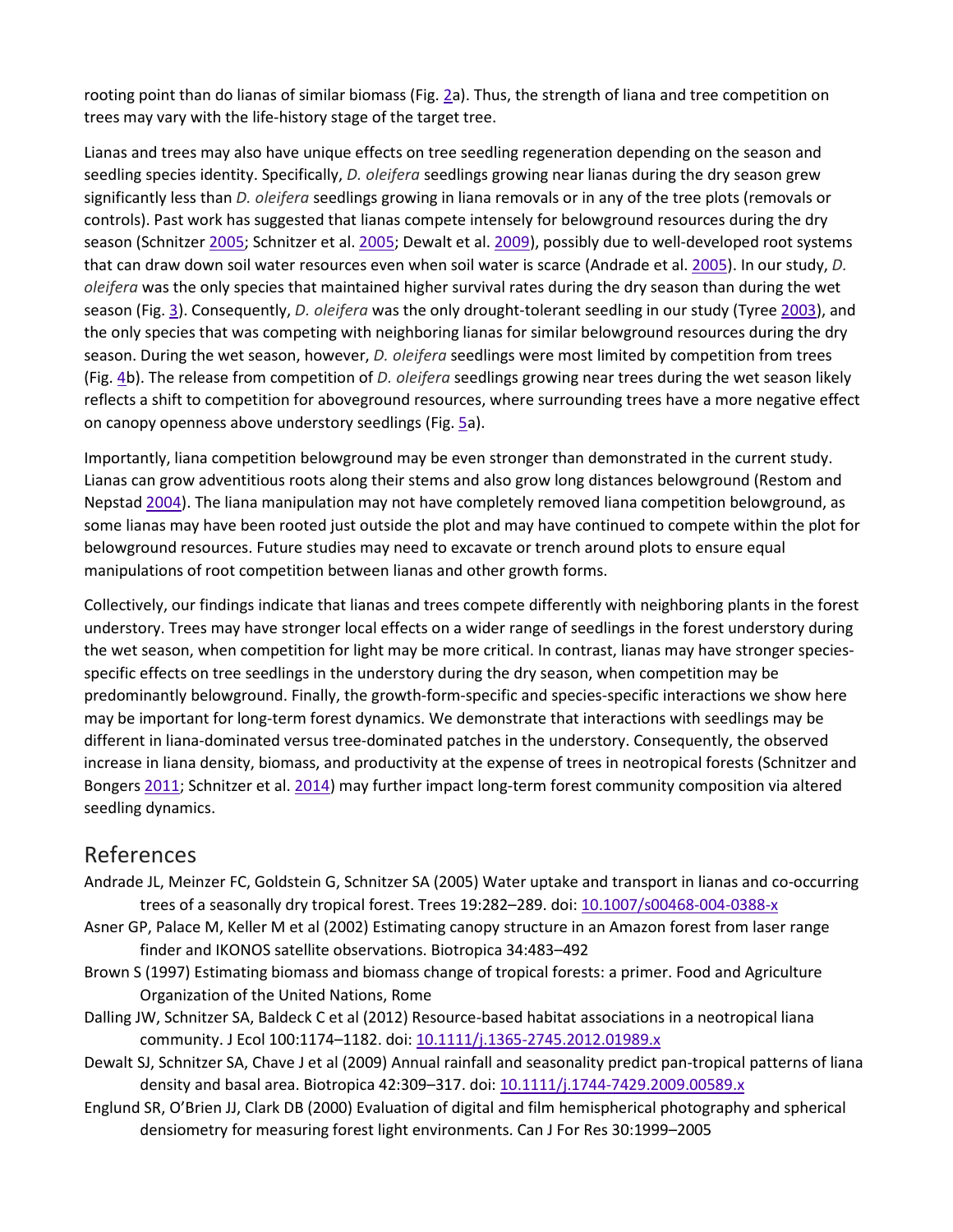rooting point than do lianas of similar biomass (Fig. [2a](https://link.springer.com/article/10.1007%2Fs00442-014-3179-0#Fig2)). Thus, the strength of liana and tree competition on trees may vary with the life-history stage of the target tree.

Lianas and trees may also have unique effects on tree seedling regeneration depending on the season and seedling species identity. Specifically, *D. oleifera* seedlings growing near lianas during the dry season grew significantly less than *D. oleifera* seedlings growing in liana removals or in any of the tree plots (removals or controls). Past work has suggested that lianas compete intensely for belowground resources during the dry season (Schnitzer [2005;](https://link.springer.com/article/10.1007%2Fs00442-014-3179-0#CR20) Schnitzer et al. [2005;](https://link.springer.com/article/10.1007%2Fs00442-014-3179-0#CR25) Dewalt et al. [2009\)](https://link.springer.com/article/10.1007%2Fs00442-014-3179-0#CR5), possibly due to well-developed root systems that can draw down soil water resources even when soil water is scarce (Andrade et al. [2005\)](https://link.springer.com/article/10.1007%2Fs00442-014-3179-0#CR1). In our study, *D. oleifera* was the only species that maintained higher survival rates during the dry season than during the wet season (Fig. [3\)](https://link.springer.com/article/10.1007%2Fs00442-014-3179-0#Fig3). Consequently, *D. oleifera* was the only drought-tolerant seedling in our study (Tyree [2003\)](https://link.springer.com/article/10.1007%2Fs00442-014-3179-0#CR33), and the only species that was competing with neighboring lianas for similar belowground resources during the dry season. During the wet season, however, *D. oleifera* seedlings were most limited by competition from trees (Fig. [4b](https://link.springer.com/article/10.1007%2Fs00442-014-3179-0#Fig4)). The release from competition of *D. oleifera* seedlings growing near trees during the wet season likely reflects a shift to competition for aboveground resources, where surrounding trees have a more negative effect on canopy openness above understory seedlings (Fig. [5a](https://link.springer.com/article/10.1007%2Fs00442-014-3179-0#Fig5)).

Importantly, liana competition belowground may be even stronger than demonstrated in the current study. Lianas can grow adventitious roots along their stems and also grow long distances belowground (Restom and Nepstad [2004\)](https://link.springer.com/article/10.1007%2Fs00442-014-3179-0#CR19). The liana manipulation may not have completely removed liana competition belowground, as some lianas may have been rooted just outside the plot and may have continued to compete within the plot for belowground resources. Future studies may need to excavate or trench around plots to ensure equal manipulations of root competition between lianas and other growth forms.

Collectively, our findings indicate that lianas and trees compete differently with neighboring plants in the forest understory. Trees may have stronger local effects on a wider range of seedlings in the forest understory during the wet season, when competition for light may be more critical. In contrast, lianas may have stronger speciesspecific effects on tree seedlings in the understory during the dry season, when competition may be predominantly belowground. Finally, the growth-form-specific and species-specific interactions we show here may be important for long-term forest dynamics. We demonstrate that interactions with seedlings may be different in liana-dominated versus tree-dominated patches in the understory. Consequently, the observed increase in liana density, biomass, and productivity at the expense of trees in neotropical forests (Schnitzer and Bongers [2011;](https://link.springer.com/article/10.1007%2Fs00442-014-3179-0#CR22) Schnitzer et al. [2014\)](https://link.springer.com/article/10.1007%2Fs00442-014-3179-0#CR29) may further impact long-term forest community composition via altered seedling dynamics.

## References

- Andrade JL, Meinzer FC, Goldstein G, Schnitzer SA (2005) Water uptake and transport in lianas and co-occurring trees of a seasonally dry tropical forest. Trees 19:282–289. doi: [10.1007/s00468-004-0388-x](https://doi.org/10.1007/s00468-004-0388-x)
- Asner GP, Palace M, Keller M et al (2002) Estimating canopy structure in an Amazon forest from laser range finder and IKONOS satellite observations. Biotropica 34:483–492
- Brown S (1997) Estimating biomass and biomass change of tropical forests: a primer. Food and Agriculture Organization of the United Nations, Rome
- Dalling JW, Schnitzer SA, Baldeck C et al (2012) Resource-based habitat associations in a neotropical liana community. J Ecol 100:1174-1182. doi: [10.1111/j.1365-2745.2012.01989.x](https://doi.org/10.1111/j.1365-2745.2012.01989.x)
- Dewalt SJ, Schnitzer SA, Chave J et al (2009) Annual rainfall and seasonality predict pan-tropical patterns of liana density and basal area. Biotropica 42:309-317. doi: [10.1111/j.1744-7429.2009.00589.x](https://doi.org/10.1111/j.1744-7429.2009.00589.x)
- Englund SR, O'Brien JJ, Clark DB (2000) Evaluation of digital and film hemispherical photography and spherical densiometry for measuring forest light environments. Can J For Res 30:1999–2005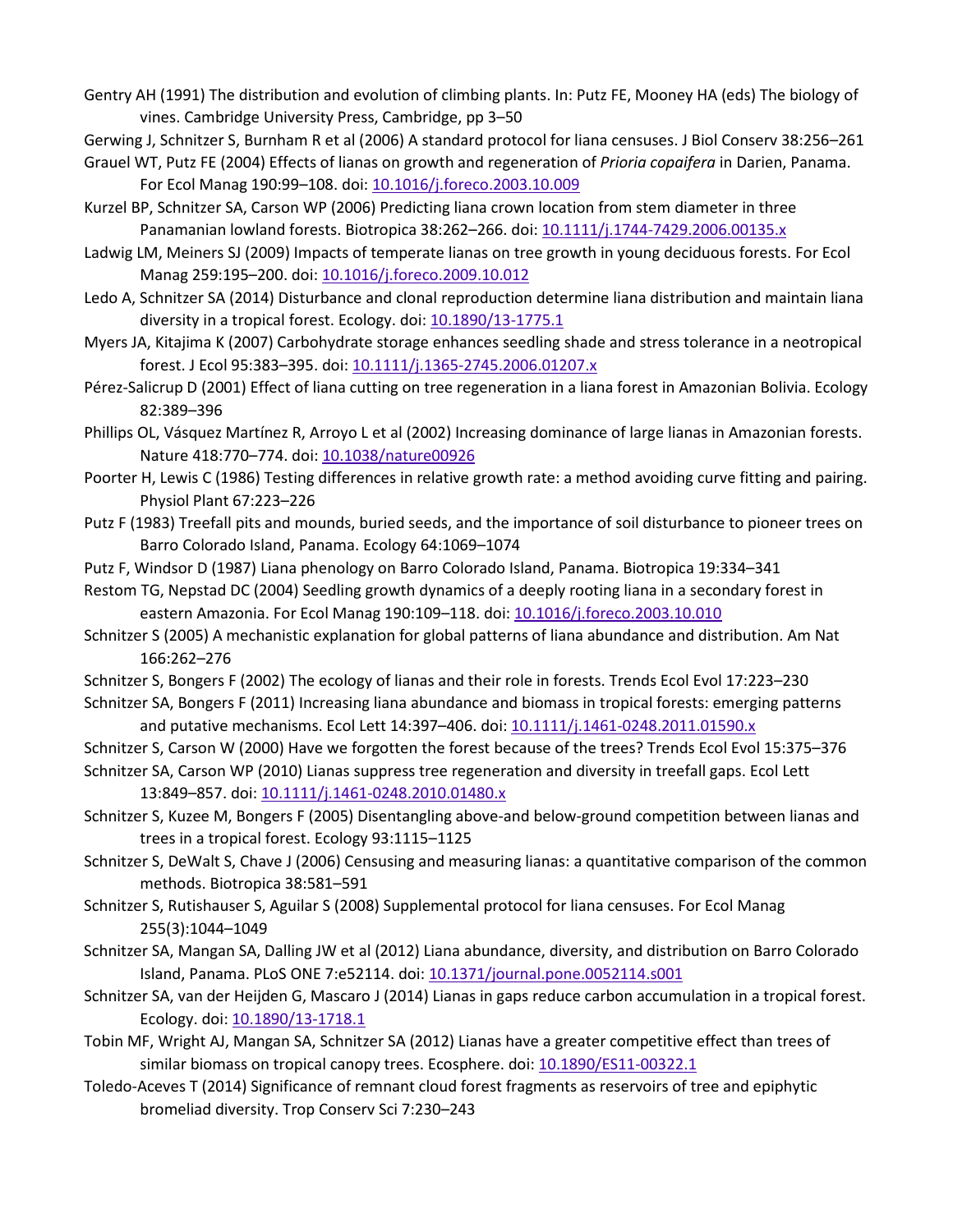Gentry AH (1991) The distribution and evolution of climbing plants. In: Putz FE, Mooney HA (eds) The biology of vines. Cambridge University Press, Cambridge, pp 3–50

- Gerwing J, Schnitzer S, Burnham R et al (2006) A standard protocol for liana censuses. J Biol Conserv 38:256–261
- Grauel WT, Putz FE (2004) Effects of lianas on growth and regeneration of *Prioria copaifera* in Darien, Panama. For Ecol Manag 190:99–108. doi: [10.1016/j.foreco.2003.10.009](https://doi.org/10.1016/j.foreco.2003.10.009)
- Kurzel BP, Schnitzer SA, Carson WP (2006) Predicting liana crown location from stem diameter in three Panamanian lowland forests. Biotropica 38:262-266. doi: [10.1111/j.1744-7429.2006.00135.x](https://doi.org/10.1111/j.1744-7429.2006.00135.x)
- Ladwig LM, Meiners SJ (2009) Impacts of temperate lianas on tree growth in young deciduous forests. For Ecol Manag 259:195–200. doi: [10.1016/j.foreco.2009.10.012](https://doi.org/10.1016/j.foreco.2009.10.012)
- Ledo A, Schnitzer SA (2014) Disturbance and clonal reproduction determine liana distribution and maintain liana diversity in a tropical forest. Ecology. doi: [10.1890/13-1775.1](https://doi.org/10.1890/13-1775.1)
- Myers JA, Kitajima K (2007) Carbohydrate storage enhances seedling shade and stress tolerance in a neotropical forest. J Ecol 95:383–395. doi: [10.1111/j.1365-2745.2006.01207.x](https://doi.org/10.1111/j.1365-2745.2006.01207.x)
- Pérez-Salicrup D (2001) Effect of liana cutting on tree regeneration in a liana forest in Amazonian Bolivia. Ecology 82:389–396
- Phillips OL, Vásquez Martínez R, Arroyo L et al (2002) Increasing dominance of large lianas in Amazonian forests. Nature 418:770–774. doi: [10.1038/nature00926](https://doi.org/10.1038/nature00926)
- Poorter H, Lewis C (1986) Testing differences in relative growth rate: a method avoiding curve fitting and pairing. Physiol Plant 67:223–226
- Putz F (1983) Treefall pits and mounds, buried seeds, and the importance of soil disturbance to pioneer trees on Barro Colorado Island, Panama. Ecology 64:1069–1074
- Putz F, Windsor D (1987) Liana phenology on Barro Colorado Island, Panama. Biotropica 19:334–341
- Restom TG, Nepstad DC (2004) Seedling growth dynamics of a deeply rooting liana in a secondary forest in eastern Amazonia. For Ecol Manag 190:109–118. doi: [10.1016/j.foreco.2003.10.010](https://doi.org/10.1016/j.foreco.2003.10.010)
- Schnitzer S (2005) A mechanistic explanation for global patterns of liana abundance and distribution. Am Nat 166:262–276
- Schnitzer S, Bongers F (2002) The ecology of lianas and their role in forests. Trends Ecol Evol 17:223–230
- Schnitzer SA, Bongers F (2011) Increasing liana abundance and biomass in tropical forests: emerging patterns and putative mechanisms. Ecol Lett 14:397-406. doi: [10.1111/j.1461-0248.2011.01590.x](https://doi.org/10.1111/j.1461-0248.2011.01590.x)
- Schnitzer S, Carson W (2000) Have we forgotten the forest because of the trees? Trends Ecol Evol 15:375–376
- Schnitzer SA, Carson WP (2010) Lianas suppress tree regeneration and diversity in treefall gaps. Ecol Lett 13:849–857. doi: [10.1111/j.1461-0248.2010.01480.x](https://doi.org/10.1111/j.1461-0248.2010.01480.x)
- Schnitzer S, Kuzee M, Bongers F (2005) Disentangling above-and below-ground competition between lianas and trees in a tropical forest. Ecology 93:1115–1125
- Schnitzer S, DeWalt S, Chave J (2006) Censusing and measuring lianas: a quantitative comparison of the common methods. Biotropica 38:581–591
- Schnitzer S, Rutishauser S, Aguilar S (2008) Supplemental protocol for liana censuses. For Ecol Manag 255(3):1044–1049
- Schnitzer SA, Mangan SA, Dalling JW et al (2012) Liana abundance, diversity, and distribution on Barro Colorado Island, Panama. PLoS ONE 7:e52114. doi: [10.1371/journal.pone.0052114.s001](https://doi.org/10.1371/journal.pone.0052114.s001)
- Schnitzer SA, van der Heijden G, Mascaro J (2014) Lianas in gaps reduce carbon accumulation in a tropical forest. Ecology. doi: [10.1890/13-1718.1](https://doi.org/10.1890/13-1718.1)
- Tobin MF, Wright AJ, Mangan SA, Schnitzer SA (2012) Lianas have a greater competitive effect than trees of similar biomass on tropical canopy trees. Ecosphere. doi: [10.1890/ES11-00322.1](https://doi.org/10.1890/ES11-00322.1)
- Toledo-Aceves T (2014) Significance of remnant cloud forest fragments as reservoirs of tree and epiphytic bromeliad diversity. Trop Conserv Sci 7:230–243